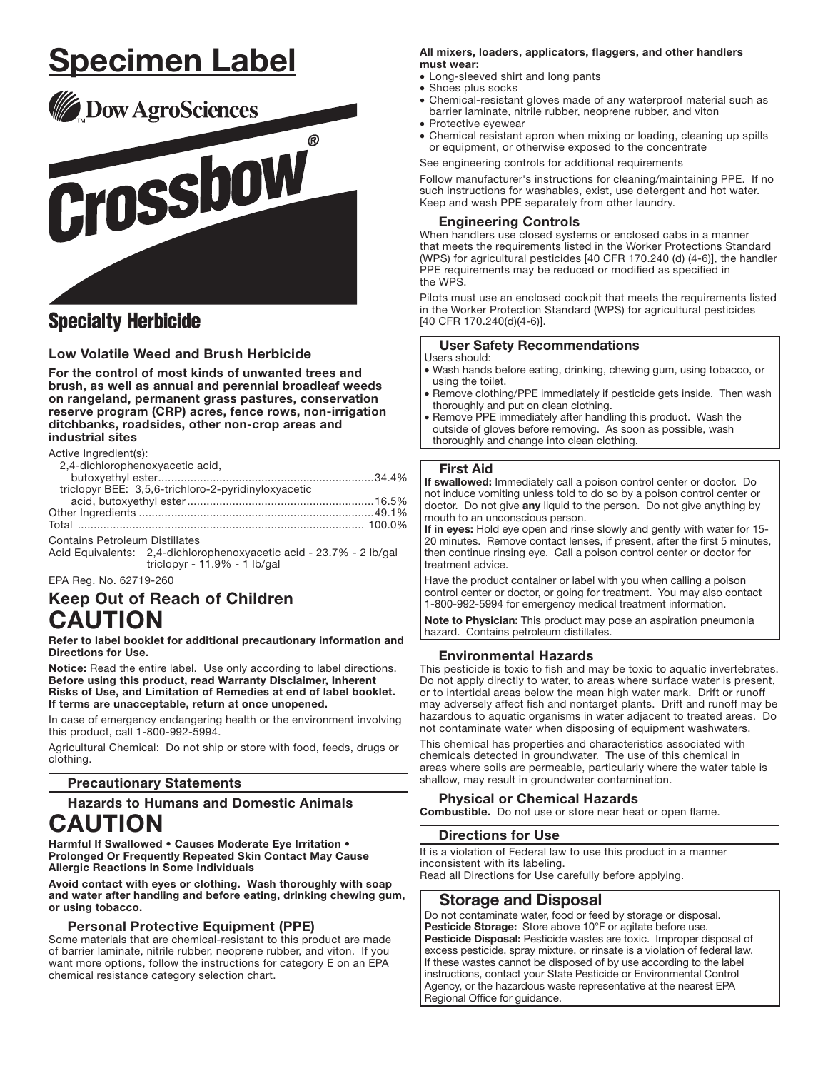# <u>Specimen Label</u>



# **Specialty Herbicide**

# **Low Volatile Weed and Brush Herbicide**

For the control of most kinds of unwanted trees and brush, as well as annual and perennial broadleaf weeds on rangeland, permanent grass pastures, conservation reserve program (CRP) acres, fence rows, non-irrigation ditchbanks, roadsides, other non-crop areas and industrial sites

Active Ingredient(s):

| 2,4-dichlorophenoxyacetic acid,                     |  |
|-----------------------------------------------------|--|
|                                                     |  |
| triclopyr BEE: 3,5,6-trichloro-2-pyridinyloxyacetic |  |
|                                                     |  |
|                                                     |  |
|                                                     |  |
|                                                     |  |

**Contains Petroleum Distillates** Acid Equivalents: 2,4-dichlorophenoxyacetic acid - 23.7% - 2 lb/gal triclopyr -  $11.9\%$  -  $1$  lb/gal

EPA Reg. No. 62719-260

# **Keep Out of Reach of Children CAUTION**

Refer to label booklet for additional precautionary information and **Directions for Use.** 

Notice: Read the entire label. Use only according to label directions. Before using this product, read Warranty Disclaimer, Inherent Risks of Use, and Limitation of Remedies at end of label booklet. If terms are unacceptable, return at once unopened.

In case of emergency endangering health or the environment involving this product, call 1-800-992-5994.

Agricultural Chemical: Do not ship or store with food, feeds, drugs or clothing.

# **Precautionary Statements**

# **Hazards to Humans and Domestic Animals**

# **CAUTION**

Harmful If Swallowed . Causes Moderate Eye Irritation . Prolonged Or Frequently Repeated Skin Contact May Cause **Allergic Reactions In Some Individuals** 

Avoid contact with eyes or clothing. Wash thoroughly with soap and water after handling and before eating, drinking chewing gum, or using tobacco.

# **Personal Protective Equipment (PPE)**

Some materials that are chemical-resistant to this product are made of barrier laminate, nitrile rubber, neoprene rubber, and viton. If you want more options, follow the instructions for category E on an EPA chemical resistance category selection chart.

#### All mixers, loaders, applicators, flaggers, and other handlers must wear:

- Long-sleeved shirt and long pants
- Shoes plus socks
- Chemical-resistant gloves made of any waterproof material such as barrier laminate, nitrile rubber, neoprene rubber, and viton
- Protective eyewear • Chemical resistant apron when mixing or loading, cleaning up spills or equipment, or otherwise exposed to the concentrate

See engineering controls for additional requirements

Follow manufacturer's instructions for cleaning/maintaining PPE. If no such instructions for washables, exist, use detergent and hot water. Keep and wash PPE separately from other laundry.

# **Engineering Controls**

When handlers use closed systems or enclosed cabs in a manner that meets the requirements listed in the Worker Protections Standard (WPS) for agricultural pesticides [40 CFR 170.240 (d) (4-6)], the handler PPE requirements may be reduced or modified as specified in the WPS

Pilots must use an enclosed cockpit that meets the requirements listed in the Worker Protection Standard (WPS) for agricultural pesticides [40 CFR 170.240(d)(4-6)].

# **User Safety Recommendations**

#### Users should:

- · Wash hands before eating, drinking, chewing gum, using tobacco, or using the toilet.
- . Remove clothing/PPE immediately if pesticide gets inside. Then wash thoroughly and put on clean clothing.
- Remove PPE immediately after handling this product. Wash the outside of gloves before removing. As soon as possible, wash thoroughly and change into clean clothing.

# **First Aid**

If swallowed: Immediately call a poison control center or doctor. Do not induce vomiting unless told to do so by a poison control center or doctor. Do not give any liquid to the person. Do not give anything by mouth to an unconscious person.

If in eyes: Hold eye open and rinse slowly and gently with water for 15-20 minutes. Remove contact lenses, if present, after the first 5 minutes, then continue rinsing eye. Call a poison control center or doctor for treatment advice.

Have the product container or label with you when calling a poison control center or doctor, or going for treatment. You may also contact 1-800-992-5994 for emergency medical treatment information.

Note to Physician: This product may pose an aspiration pneumonia hazard. Contains petroleum distillates.

# **Environmental Hazards**

This pesticide is toxic to fish and may be toxic to aquatic invertebrates. Do not apply directly to water, to areas where surface water is present, or to intertidal areas below the mean high water mark. Drift or runoff may adversely affect fish and nontarget plants. Drift and runoff may be hazardous to aquatic organisms in water adjacent to treated areas. Do not contaminate water when disposing of equipment washwaters.

This chemical has properties and characteristics associated with chemicals detected in groundwater. The use of this chemical in areas where soils are permeable, particularly where the water table is shallow, may result in groundwater contamination.

# **Physical or Chemical Hazards**

Combustible. Do not use or store near heat or open flame.

# **Directions for Use**

It is a violation of Federal law to use this product in a manner inconsistent with its labeling. Read all Directions for Use carefully before applying.

# **Storage and Disposal**

Do not contaminate water, food or feed by storage or disposal. Pesticide Storage: Store above 10°F or agitate before use. Pesticide Disposal: Pesticide wastes are toxic. Improper disposal of excess pesticide, spray mixture, or rinsate is a violation of federal law. If these wastes cannot be disposed of by use according to the label instructions, contact your State Pesticide or Environmental Control Agency, or the hazardous waste representative at the nearest EPA Regional Office for guidance.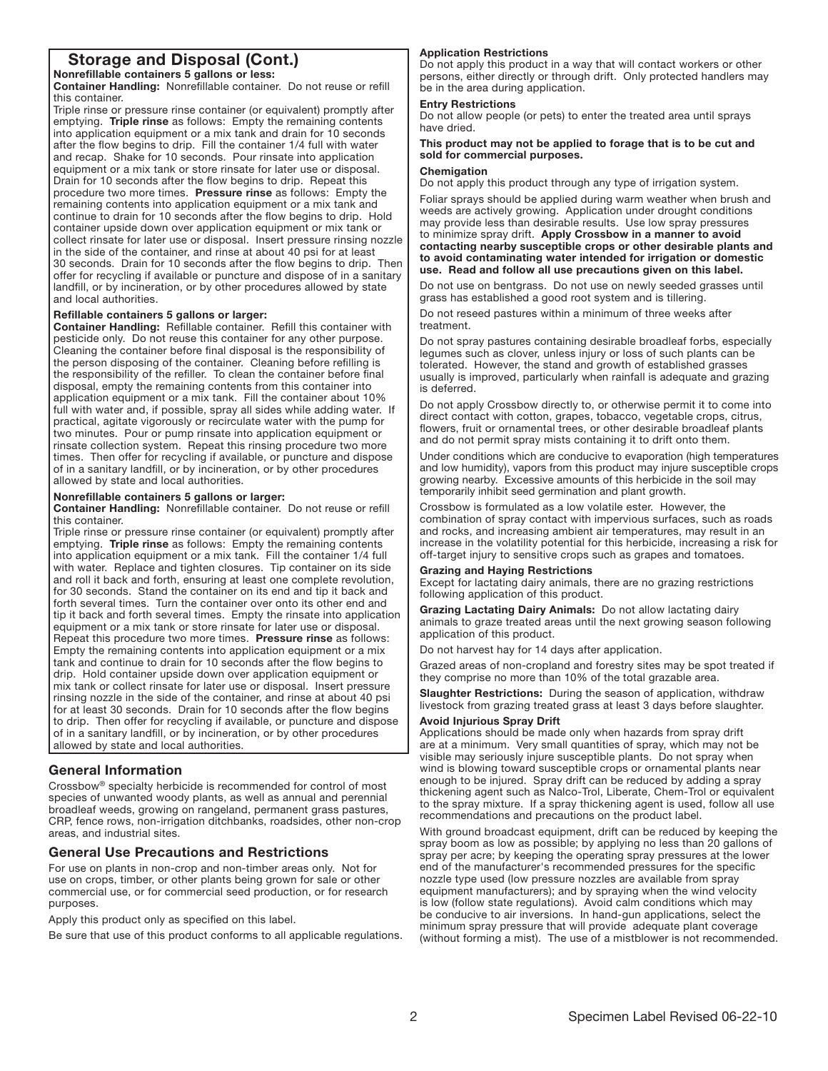# Storage and Disposal (Cont.)

Nonreflllable containers 5 gallons or less: Container Handling: Nonrefillable container. Do not reuse or refill

this container�

Triple rinse or pressure rinse container (or equivalent) promptly after emptying. Triple rinse as follows: Empty the remaining contents into application equipment or a mix tank and drain for 10 seconds after the flow begins to drip. Fill the container 1/4 full with water and recap. Shake for 10 seconds. Pour rinsate into application equipment or a mix tank or store rinsate for later use or disposal. Drain for 10 seconds after the flow begins to drip. Repeat this procedure two more times. Pressure rinse as follows: Empty the remaining contents into application equipment or a mix tank and continue to drain for 10 seconds after the flow begins to drip. Hold container upside down over application equipment or mix tank or collect rinsate for later use or disposal. Insert pressure rinsing nozzle in the side of the container, and rinse at about 40 psi for at least 30 seconds. Drain for 10 seconds after the flow begins to drip. Then offer for recycling if available or puncture and dispose of in a sanitary landfill, or by incineration, or by other procedures allowed by state and local authorities.

#### Reflllable containers 5 gallons or larger:

Container Handling: Refillable container. Refill this container with pesticide only. Do not reuse this container for any other purpose. Cleaning the container before flnal disposal is the responsibility of the person disposing of the container. Cleaning before refilling is the responsibility of the refiller. To clean the container before final disposal, empty the remaining contents from this container into application equipment or a mix tank. Fill the container about 10% full with water and, if possible, spray all sides while adding water. If practical, agitate vigorously or recirculate water with the pump for two minutes. Pour or pump rinsate into application equipment or rinsate collection system. Repeat this rinsing procedure two more times. Then offer for recycling if available, or puncture and dispose of in a sanitary landflll, or by incineration, or by other procedures allowed by state and local authorities.

#### Nonreflllable containers 5 gallons or larger:

Container Handling: Nonrefillable container. Do not reuse or refill this container.

Triple rinse or pressure rinse container (or equivalent) promptly after emptying. Triple rinse as follows: Empty the remaining contents into application equipment or a mix tank. Fill the container 1/4 full with water. Replace and tighten closures. Tip container on its side and roll it back and forth, ensuring at least one complete revolution, for 30 seconds. Stand the container on its end and tip it back and forth several times. Turn the container over onto its other end and tip it back and forth several times. Empty the rinsate into application equipment or a mix tank or store rinsate for later use or disposal. Repeat this procedure two more times. Pressure rinse as follows: Empty the remaining contents into application equipment or a mix tank and continue to drain for 10 seconds after the fiow begins to drip. Hold container upside down over application equipment or mix tank or collect rinsate for later use or disposal. Insert pressure rinsing nozzle in the side of the container, and rinse at about 40 psi for at least 30 seconds. Drain for 10 seconds after the flow begins to drip. Then offer for recycling if available, or puncture and dispose of in a sanitary landflll, or by incineration, or by other procedures allowed by state and local authorities.

# **General Information**

֚֡֡֬֕

Crossbow® specialty herbicide is recommended for control of most species of unwanted woody plants, as well as annual and perennial broadleaf weeds, growing on rangeland, permanent grass pastures, CRP, fence rows, non-irrigation ditchbanks, roadsides, other non-crop areas, and industrial sites.

# general Use Precautions and Restrictions

For use on plants in non-crop and non-timber areas only. Not for use on crops, timber, or other plants being grown for sale or other commercial use, or for commercial seed production, or for research purposes.

Apply this product only as specified on this label.

Be sure that use of this product conforms to all applicable regulations.

#### Application Restrictions

Do not apply this product in a way that will contact workers or other persons, either directly or through drift. Only protected handlers may be in the area during application.

# Entry Restrictions

Do not allow people (or pets) to enter the treated area until sprays have dried.

This product may not be applied to forage that is to be cut and sold for commercial purposes.

#### Chemigation

Do not apply this product through any type of irrigation system.

Foliar sprays should be applied during warm weather when brush and weeds are actively growing. Application under drought conditions may provide less than desirable results. Use low spray pressures to minimize spray drift. Apply Crossbow in a manner to avoid contacting nearby susceptible crops or other desirable plants and to avoid contaminating water intended for irrigation or domestic use. Read and follow all use precautions given on this label.

Do not use on bentgrass. Do not use on newly seeded grasses until grass has established a good root system and is tillering.

Do not reseed pastures within a minimum of three weeks after treatment.

Do not spray pastures containing desirable broadleaf forbs, especially legumes such as clover, unless injury or loss of such plants can be tolerated. However, the stand and growth of established grasses usually is improved, particularly when rainfall is adequate and grazing is deferred.

Do not apply Crossbow directly to, or otherwise permit it to come into direct contact with cotton, grapes, tobacco, vegetable crops, citrus, fiowers, fruit or ornamental trees, or other desirable broadleaf plants and do not permit spray mists containing it to drift onto them.

Under conditions which are conducive to evaporation (high temperatures and low humidity), vapors from this product may injure susceptible crops growing nearby. Excessive amounts of this herbicide in the soil may temporarily inhibit seed germination and plant growth.

Crossbow is formulated as a low volatile ester. However, the combination of spray contact with impervious surfaces, such as roads and rocks, and increasing ambient air temperatures, may result in an increase in the volatility potential for this herbicide, increasing a risk for off-target injury to sensitive crops such as grapes and tomatoes.

#### **Grazing and Haying Restrictions**

Except for lactating dairy animals, there are no grazing restrictions following application of this product.

Grazing Lactating Dairy Animals: Do not allow lactating dairy animals to graze treated areas until the next growing season following application of this product.

Do not harvest hay for 14 days after application.

Grazed areas of non-cropland and forestry sites may be spot treated if they comprise no more than 10% of the total grazable area.

Slaughter Restrictions: During the season of application, withdraw livestock from grazing treated grass at least 3 days before slaughter.

#### Avoid Injurious Spray Drift

Applications should be made only when hazards from spray drift are at a minimum. Very small quantities of spray, which may not be visible may seriously injure susceptible plants. Do not spray when wind is blowing toward susceptible crops or ornamental plants near enough to be injured. Spray drift can be reduced by adding a spray thickening agent such as Nalco-Trol, Liberate, Chem-Trol or equivalent to the spray mixture. If a spray thickening agent is used, follow all use recommendations and precautions on the product label.

With ground broadcast equipment, drift can be reduced by keeping the spray boom as low as possible; by applying no less than 20 gallons of spray per acre; by keeping the operating spray pressures at the lower end of the manufacturer's recommended pressures for the speciflc nozzle type used (low pressure nozzles are available from spray equipment manufacturers); and by spraying when the wind velocity is low (follow state regulations). Avoid calm conditions which may be conducive to air inversions. In hand-gun applications, select the minimum spray pressure that will provide adequate plant coverage (without forming a mist). The use of a mistblower is not recommended.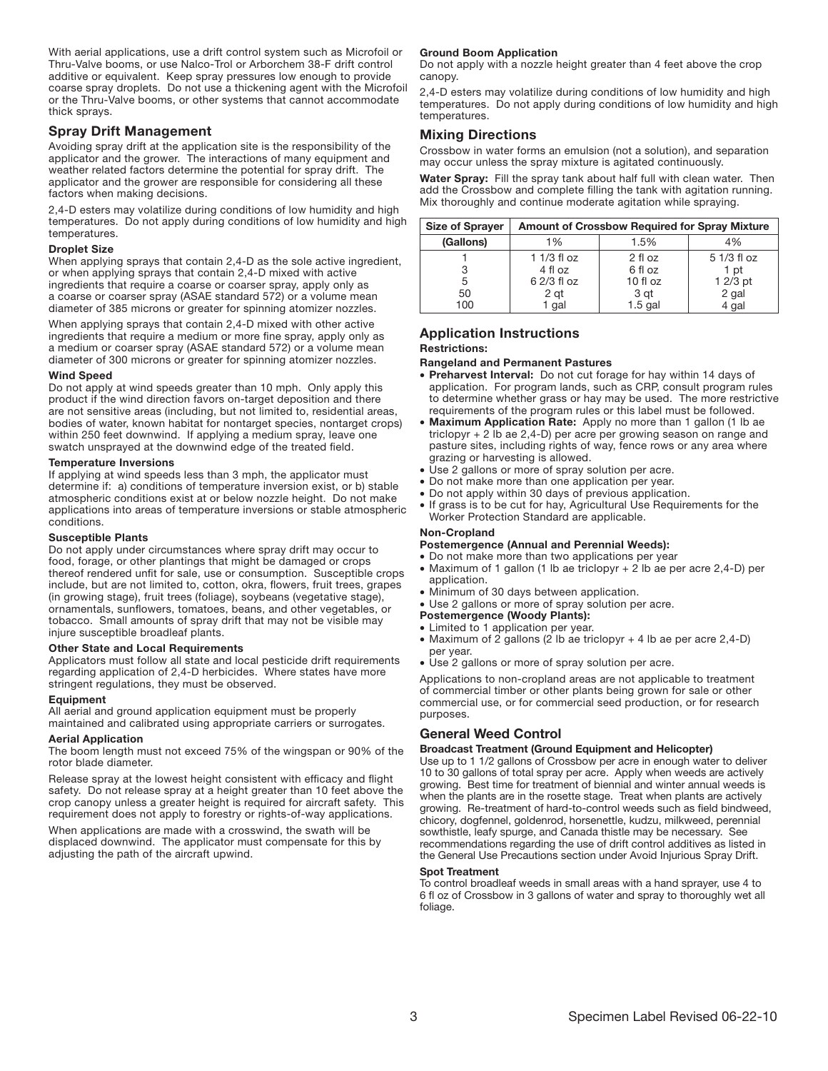With aerial applications, use a drift control system such as Microfoil or Thru-Valve booms, or use Nalco-Trol or Arborchem 38-F drift control additive or equivalent. Keep spray pressures low enough to provide coarse spray droplets. Do not use a thickening agent with the Microfoil or the Thru-Valve booms, or other systems that cannot accommodate thick sprays.

# Spray Drift Management

Avoiding spray drift at the application site is the responsibility of the applicator and the grower. The interactions of many equipment and weather related factors determine the potential for spray drift. The applicator and the grower are responsible for considering all these factors when making decisions.

2,4-D esters may volatilize during conditions of low humidity and high temperatures. Do not apply during conditions of low humidity and high temperatures.

#### Droplet Size

When applying sprays that contain 2,4-D as the sole active ingredient, or when applying sprays that contain 2,4-D mixed with active ingredients that require a coarse or coarser spray, apply only as a coarse or coarser spray (ASAE standard 572) or a volume mean diameter of 385 microns or greater for spinning atomizer nozzles.

When applying sprays that contain 2,4-D mixed with other active ingredients that require a medium or more fine spray, apply only as a medium or coarser spray (ASAE standard 572) or a volume mean diameter of 300 microns or greater for spinning atomizer nozzles.

#### Wind Speed

Do not apply at wind speeds greater than 10 mph. Only apply this product if the wind direction favors on-target deposition and there are not sensitive areas (including, but not limited to, residential areas, bodies of water, known habitat for nontarget species, nontarget crops) within 250 feet downwind. If applying a medium spray, leave one swatch unsprayed at the downwind edge of the treated field.

#### Temperature Inversions

If applying at wind speeds less than 3 mph, the applicator must determine if: a) conditions of temperature inversion exist, or b) stable atmospheric conditions exist at or below nozzle height. Do not make applications into areas of temperature inversions or stable atmospheric conditions.

#### Susceptible Plants

Do not apply under circumstances where spray drift may occur to food, forage, or other plantings that might be damaged or crops thereof rendered unfit for sale, use or consumption. Susceptible crops include, but are not limited to, cotton, okra, fiowers, fruit trees, grapes (in growing stage), fruit trees (foliage), soybeans (vegetative stage), ornamentals, sunfiowers, tomatoes, beans, and other vegetables, or tobacco. Small amounts of spray drift that may not be visible may injure susceptible broadleaf plants.

#### Other State and Local Requirements

Applicators must follow all state and local pesticide drift requirements regarding application of 2,4-D herbicides. Where states have more stringent regulations, they must be observed.

#### Equipment

All aerial and ground application equipment must be properly maintained and calibrated using appropriate carriers or surrogates.

#### Aerial Application

The boom length must not exceed 75% of the wingspan or 90% of the rotor blade diameter.

Release spray at the lowest height consistent with efficacy and flight safety. Do not release spray at a height greater than 10 feet above the crop canopy unless a greater height is required for aircraft safety. This requirement does not apply to forestry or rights-of-way applications.

When applications are made with a crosswind, the swath will be displaced downwind. The applicator must compensate for this by adjusting the path of the aircraft upwind.

# **Ground Boom Application**

Do not apply with a nozzle height greater than 4 feet above the crop canopy.

2,4-D esters may volatilize during conditions of low humidity and high temperatures. Do not apply during conditions of low humidity and high temperatures.

# Mixing Directions

Crossbow in water forms an emulsion (not a solution), and separation may occur unless the spray mixture is agitated continuously.

Water Spray: Fill the spray tank about half full with clean water. Then add the Crossbow and complete filling the tank with agitation running. Mix thoroughly and continue moderate agitation while spraying.<br>

| <b>Size of Sprayer</b> | <b>Amount of Crossbow Required for Spray Mixture</b> |            |             |
|------------------------|------------------------------------------------------|------------|-------------|
| (Gallons)              | 1%                                                   | 1.5%       | 4%          |
|                        | 1 $1/3$ fl oz                                        | $2$ fl oz  | 5 1/3 fl oz |
|                        | 4 fl oz                                              | 6 fl oz    | 1 pt        |
| 5                      | 6 2/3 fl oz                                          | $10f$ l oz | $12/3$ pt   |
| 50                     | 2 gt                                                 | 3 gt       | 2 gal       |
| 100                    | 1 gal                                                | $1.5$ gal  | 4 gal       |

# Application Instructions Restrictions:

#### Rangeland and Permanent Pastures

- Preharvest Interval: Do not cut forage for hay within 14 days of application. For program lands, such as CRP, consult program rules to determine whether grass or hay may be used. The more restrictive requirements of the program rules or this label must be followed.
- Maximum Application Rate: Apply no more than 1 gallon (1 lb ae triclopyr + 2 lb ae 2,4-D) per acre per growing season on range and pasture sites, including rights of way, fence rows or any area where grazing or harvesting is allowed.
- Use 2 gallons or more of spray solution per acre.
- Do not make more than one application per year.
- Do not apply within 30 days of previous application.
- If grass is to be cut for hay, Agricultural Use Requirements for the Worker Protection Standard are applicable.

#### Non-Cropland

#### Postemergence (Annual and Perennial Weeds):

- Do not make more than two applications per year
- • Maximum of 1 gallon (1 lb ae triclopyr + 2 lb ae per acre 2,4-D) per application.
- Minimum of 30 days between application.
- Use 2 gallons or more of spray solution per acre.
- Postemergence (Woody Plants):
- Limited to 1 application per year.
- • Maximum of 2 gallons (2 lb ae triclopyr + 4 lb ae per acre 2,4-D) per year.
- Use 2 gallons or more of spray solution per acre.

Applications to non-cropland areas are not applicable to treatment of commercial timber or other plants being grown for sale or other commercial use, or for commercial seed production, or for research purposes.

# general Weed Control

# Broadcast Treatment (Ground Equipment and Helicopter)

Use up to 1 1/2 gallons of Crossbow per acre in enough water to deliver 10 to 30 gallons of total spray per acre. Apply when weeds are actively growing. Best time for treatment of biennial and winter annual weeds is when the plants are in the rosette stage. Treat when plants are actively growing. Re-treatment of hard-to-control weeds such as field bindweed, chicory, dogfennel, goldenrod, horsenettle, kudzu, milkweed, perennial sowthistle, leafy spurge, and Canada thistle may be necessary. See recommendations regarding the use of drift control additives as listed in the General Use Precautions section under Avoid Injurious Spray Drift.

# Spot Treatment

To control broadleaf weeds in small areas with a hand sprayer, use 4 to 6 fi oz of Crossbow in 3 gallons of water and spray to thoroughly wet all foliage.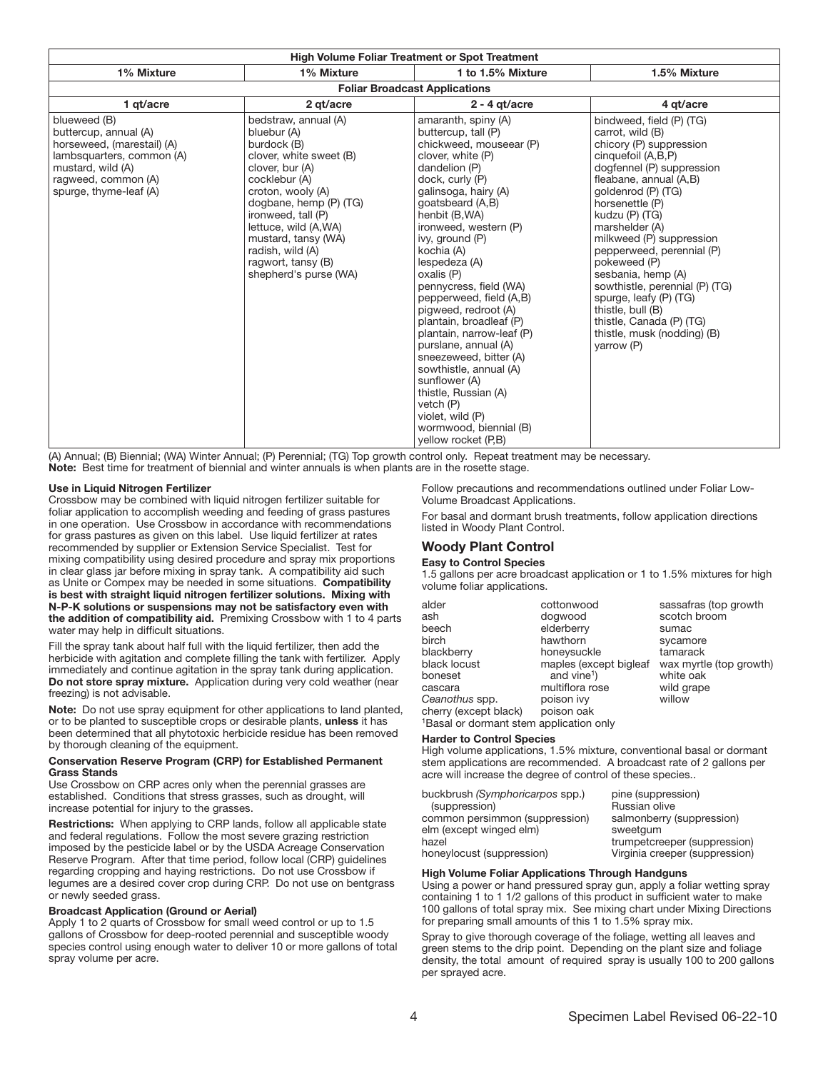| <b>High Volume Foliar Treatment or Spot Treatment</b>                                                                                                                  |                                                                                                                                                                                                                                                                                                          |                                                                                                                                                                                                                                                                                                                                                                                                                                                                                                                                                                                                                                  |                                                                                                                                                                                                                                                                                                                                                                                                                                                                                            |  |  |
|------------------------------------------------------------------------------------------------------------------------------------------------------------------------|----------------------------------------------------------------------------------------------------------------------------------------------------------------------------------------------------------------------------------------------------------------------------------------------------------|----------------------------------------------------------------------------------------------------------------------------------------------------------------------------------------------------------------------------------------------------------------------------------------------------------------------------------------------------------------------------------------------------------------------------------------------------------------------------------------------------------------------------------------------------------------------------------------------------------------------------------|--------------------------------------------------------------------------------------------------------------------------------------------------------------------------------------------------------------------------------------------------------------------------------------------------------------------------------------------------------------------------------------------------------------------------------------------------------------------------------------------|--|--|
| 1% Mixture                                                                                                                                                             | 1% Mixture                                                                                                                                                                                                                                                                                               | 1 to 1.5% Mixture                                                                                                                                                                                                                                                                                                                                                                                                                                                                                                                                                                                                                | 1.5% Mixture                                                                                                                                                                                                                                                                                                                                                                                                                                                                               |  |  |
| <b>Foliar Broadcast Applications</b>                                                                                                                                   |                                                                                                                                                                                                                                                                                                          |                                                                                                                                                                                                                                                                                                                                                                                                                                                                                                                                                                                                                                  |                                                                                                                                                                                                                                                                                                                                                                                                                                                                                            |  |  |
| 1 gt/acre                                                                                                                                                              | 2 gt/acre                                                                                                                                                                                                                                                                                                | $2 - 4$ at/acre                                                                                                                                                                                                                                                                                                                                                                                                                                                                                                                                                                                                                  | 4 at/acre                                                                                                                                                                                                                                                                                                                                                                                                                                                                                  |  |  |
| blueweed (B)<br>buttercup, annual (A)<br>horseweed, (marestail) (A)<br>lambsquarters, common (A)<br>mustard, wild (A)<br>ragweed, common (A)<br>spurge, thyme-leaf (A) | bedstraw, annual (A)<br>bluebur (A)<br>burdock (B)<br>clover, white sweet (B)<br>clover, bur (A)<br>cocklebur (A)<br>croton, wooly (A)<br>dogbane, hemp (P) (TG)<br>ironweed, tall (P)<br>lettuce, wild (A,WA)<br>mustard, tansy (WA)<br>radish, wild (A)<br>ragwort, tansy (B)<br>shepherd's purse (WA) | amaranth, spiny (A)<br>buttercup, tall (P)<br>chickweed, mouseear (P)<br>clover, white (P)<br>dandelion (P)<br>dock, curly (P)<br>galinsoga, hairy (A)<br>goatsbeard (A,B)<br>henbit (B,WA)<br>ironweed, western (P)<br>ivy, ground (P)<br>kochia (A)<br>lespedeza (A)<br>oxalis (P)<br>pennycress, field (WA)<br>pepperweed, field (A,B)<br>pigweed, redroot (A)<br>plantain, broadleaf (P)<br>plantain, narrow-leaf (P)<br>purslane, annual (A)<br>sneezeweed, bitter (A)<br>sowthistle, annual (A)<br>sunflower (A)<br>thistle, Russian (A)<br>vetch (P)<br>violet, wild (P)<br>wormwood, biennial (B)<br>yellow rocket (P,B) | bindweed, field (P) (TG)<br>carrot, wild (B)<br>chicory (P) suppression<br>cinquefoil (A,B,P)<br>dogfennel (P) suppression<br>fleabane, annual (A,B)<br>goldenrod (P) (TG)<br>horsenettle (P)<br>kudzu (P) (TG)<br>marshelder (A)<br>milkweed (P) suppression<br>pepperweed, perennial (P)<br>pokeweed (P)<br>sesbania, hemp (A)<br>sowthistle, perennial (P) (TG)<br>spurge, leafy (P) (TG)<br>thistle, bull (B)<br>thistle, Canada (P) (TG)<br>thistle, musk (nodding) (B)<br>varrow (P) |  |  |

(A) Annual; (B) Biennial; (WA) Winter Annual; (P) Perennial; (TG) Top growth control only. Repeat treatment may be necessary. Note: Best time for treatment of biennial and winter annuals is when plants are in the rosette stage.

#### Use in Liquid Nitrogen Fertilizer

Crossbow may be combined with liquid nitrogen fertilizer suitable for foliar application to accomplish weeding and feeding of grass pastures in one operation. Use Crossbow in accordance with recommendations for grass pastures as given on this label. Use liquid fertilizer at rates recommended by supplier or Extension Service Specialist. Test for mixing compatibility using desired procedure and spray mix proportions in clear glass jar before mixing in spray tank. A compatibility aid such as Unite or Compex may be needed in some situations. Compatibility is best with straight liquid nitrogen fertilizer solutions. Mixing with N-P-K solutions or suspensions may not be satisfactory even with the addition of compatibility aid. Premixing Crossbow with 1 to 4 parts water may help in difficult situations.

Fill the spray tank about half full with the liquid fertilizer, then add the herbicide with agitation and complete filling the tank with fertilizer. Apply immediately and continue agitation in the spray tank during application. Do not store spray mixture. Application during very cold weather (near freezing) is not advisable.

Note: Do not use spray equipment for other applications to land planted, or to be planted to susceptible crops or desirable plants, unless it has been determined that all phytotoxic herbicide residue has been removed by thorough cleaning of the equipment.

#### Conservation Reserve Program (CRP) for Established Permanent grass Stands

Use Crossbow on CRP acres only when the perennial grasses are established. Conditions that stress grasses, such as drought, will increase potential for injury to the grasses.

Restrictions: When applying to CRP lands, follow all applicable state and federal regulations. Follow the most severe grazing restriction imposed by the pesticide label or by the USDA Acreage Conservation Reserve Program. After that time period, follow local (CRP) guidelines regarding cropping and haying restrictions. Do not use Crossbow if legumes are a desired cover crop during CRP. Do not use on bentgrass or newly seeded grass.

#### **Broadcast Application (Ground or Aerial)**

Apply 1 to 2 quarts of Crossbow for small weed control or up to 1.5 gallons of Crossbow for deep-rooted perennial and susceptible woody species control using enough water to deliver 10 or more gallons of total spray volume per acre.

Follow precautions and recommendations outlined under Foliar Low-Volume Broadcast Applications.

For basal and dormant brush treatments, follow application directions listed in Woody Plant Control.

# Woody Plant Control

#### Easy to Control Species

1.5 gallons per acre broadcast application or 1 to 1.5% mixtures for high volume foliar applications.

| alder                 | cottonwood              | sassafras (top growth   |
|-----------------------|-------------------------|-------------------------|
| ash                   | dogwood                 | scotch broom            |
| beech                 | elderberry              | sumac                   |
| birch                 | hawthorn                | sycamore                |
| blackberry            | honeysuckle             | tamarack                |
| black locust          | maples (except bigleaf  | wax myrtle (top growth) |
| boneset               | and vine <sup>1</sup> ) | white oak               |
| cascara               | multiflora rose         | wild grape              |
| Ceanothus spp.        | poison ivy              | willow                  |
| cherry (except black) | poison oak              |                         |

<sup>1</sup>Basal or dormant stem application only

#### harder to Control Species

High volume applications, 1.5% mixture, conventional basal or dormant stem applications are recommended. A broadcast rate of 2 gallons per acre will increase the degree of control of these species..

| buckbrush (Symphoricarpos spp.) | pine (suppression)             |
|---------------------------------|--------------------------------|
| (suppression)                   | Russian olive                  |
| common persimmon (suppression)  | salmonberry (suppression)      |
| elm (except winged elm)         | sweetaum                       |
| hazel                           | trumpetcreeper (suppression)   |
| honeylocust (suppression)       | Virginia creeper (suppression) |

#### high volume Foliar Applications Through handguns

Using a power or hand pressured spray gun, apply a foliar wetting spray containing 1 to 1 1/2 gallons of this product in sufficient water to make 100 gallons of total spray mix. See mixing chart under Mixing Directions for preparing small amounts of this 1 to 1.5% spray mix.

Spray to give thorough coverage of the foliage, wetting all leaves and green stems to the drip point. Depending on the plant size and foliage density, the total amount of required spray is usually 100 to 200 gallons per sprayed acre.